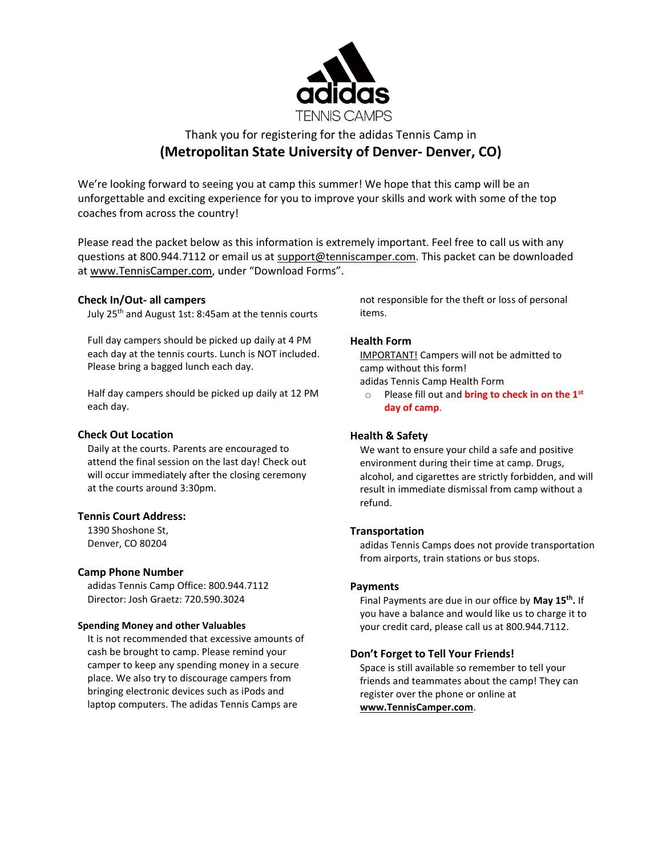

# Thank you for registering for the adidas Tennis Camp in **(Metropolitan State University of Denver- Denver, CO)**

We're looking forward to seeing you at camp this summer! We hope that this camp will be an unforgettable and exciting experience for you to improve your skills and work with some of the top coaches from across the country!

Please read the packet below as this information is extremely important. Feel free to call us with any questions at 800.944.7112 or email us at [support@tenniscamper.com.](mailto:support@tenniscamper.com) This packet can be downloaded at www.TennisCamper.com, under "Download Forms".

## **Check In/Out- all campers**

July 25 th and August 1st: 8:45am at the tennis courts

Full day campers should be picked up daily at 4 PM each day at the tennis courts. Lunch is NOT included. Please bring a bagged lunch each day.

Half day campers should be picked up daily at 12 PM each day.

#### **Check Out Location**

Daily at the courts. Parents are encouraged to attend the final session on the last day! Check out will occur immediately after the closing ceremony at the courts around 3:30pm.

#### **Tennis Court Address:**

1390 Shoshone St, Denver, CO 80204

#### **Camp Phone Number**

adidas Tennis Camp Office: 800.944.7112 Director: Josh Graetz: 720.590.3024

#### **Spending Money and other Valuables**

It is not recommended that excessive amounts of cash be brought to camp. Please remind your camper to keep any spending money in a secure place. We also try to discourage campers from bringing electronic devices such as iPods and laptop computers. The adidas Tennis Camps are

not responsible for the theft or loss of personal items.

## **Health Form**

IMPORTANT! Campers will not be admitted to camp without this form! adidas Tennis Camp Health Form

o Please fill out and **bring to check in on the 1st day of camp**.

# **Health & Safety**

We want to ensure your child a safe and positive environment during their time at camp. Drugs, alcohol, and cigarettes are strictly forbidden, and will result in immediate dismissal from camp without a refund.

# **Transportation**

adidas Tennis Camps does not provide transportation from airports, train stations or bus stops.

#### **Payments**

Final Payments are due in our office by **May 15th .** If you have a balance and would like us to charge it to your credit card, please call us at 800.944.7112.

# **Don't Forget to Tell Your Friends!**

Space is still available so remember to tell your friends and teammates about the camp! They can register over the phone or online at **www.TennisCamper.com**.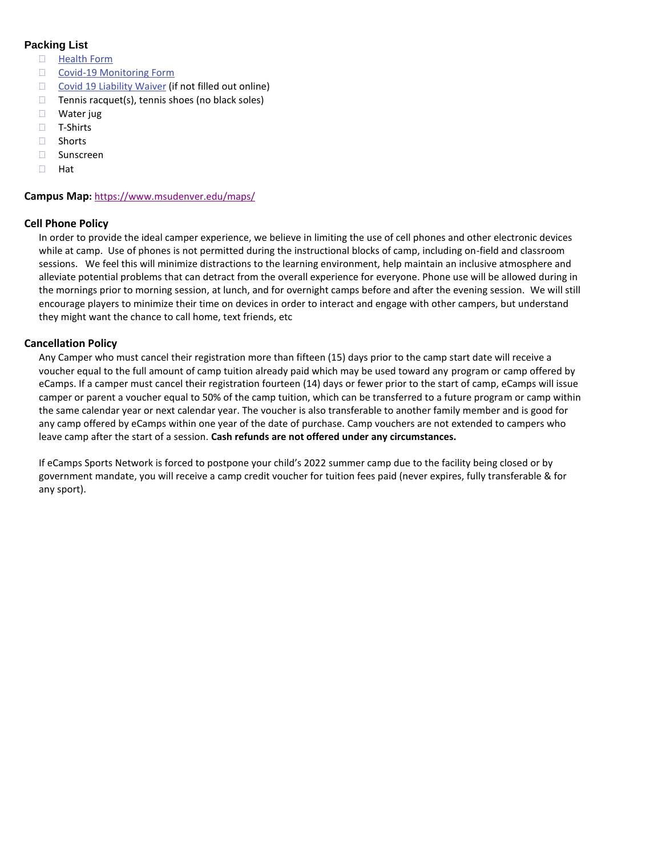# **Packing List**

- □ [Health](https://tenniscamper.com/wp-content/uploads/TN-adidasTennisCampsHealthForm.pdf) Form
- □ Covid-19 [Monitoring](https://tenniscamper.com/wp-content/uploads/Athletic-Monitoring-Form.pdf) Form
- $\Box$  Covid 19 [Liability](https://tenniscamper.com/wp-content/uploads/eCampsWaiverOfLiabilityAddendumRelatingToCoronavirus.pdf) Waiver (if not filled out online)
- $\Box$  Tennis racquet(s), tennis shoes (no black soles)
- □ Water jug
- □ T-Shirts
- □ Shorts
- □ Sunscreen
- $\Box$  Hat

#### **Campus Map:** <https://www.msudenver.edu/maps/>

## **Cell Phone Policy**

In order to provide the ideal camper experience, we believe in limiting the use of cell phones and other electronic devices while at camp. Use of phones is not permitted during the instructional blocks of camp, including on-field and classroom sessions. We feel this will minimize distractions to the learning environment, help maintain an inclusive atmosphere and alleviate potential problems that can detract from the overall experience for everyone. Phone use will be allowed during in the mornings prior to morning session, at lunch, and for overnight camps before and after the evening session. We will still encourage players to minimize their time on devices in order to interact and engage with other campers, but understand they might want the chance to call home, text friends, etc

## **Cancellation Policy**

Any Camper who must cancel their registration more than fifteen (15) days prior to the camp start date will receive a voucher equal to the full amount of camp tuition already paid which may be used toward any program or camp offered by eCamps. If a camper must cancel their registration fourteen (14) days or fewer prior to the start of camp, eCamps will issue camper or parent a voucher equal to 50% of the camp tuition, which can be transferred to a future program or camp within the same calendar year or next calendar year. The voucher is also transferable to another family member and is good for any camp offered by eCamps within one year of the date of purchase. Camp vouchers are not extended to campers who leave camp after the start of a session. **Cash refunds are not offered under any circumstances.**

If eCamps Sports Network is forced to postpone your child's 2022 summer camp due to the facility being closed or by government mandate, you will receive a camp credit voucher for tuition fees paid (never expires, fully transferable & for any sport).